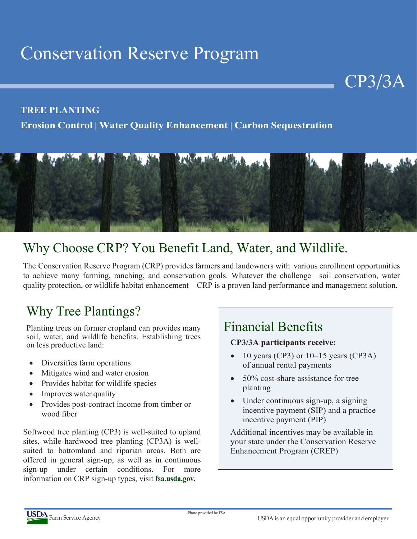# Conservation Reserve Program

#### **TREE PLANTING**

**Erosion Control | Water Quality Enhancement | Carbon Sequestration**



# Why Choose CRP? You Benefit Land, Water, and Wildlife.

The Conservation Reserve Program (CRP) provides farmers and landowners with various enrollment opportunities to achieve many farming, ranching, and conservation goals. Whatever the challenge—soil conservation, water quality protection, or wildlife habitat enhancement—CRP is a proven land performance and management solution.

# Why Tree Plantings?

Planting trees on former cropland can provides many soil, water, and wildlife benefits. Establishing trees on less productive land:

- Diversifies farm operations
- Mitigates wind and water erosion
- Provides habitat for wildlife species
- Improves water quality
- Provides post-contract income from timber or wood fiber

Softwood tree planting (CP3) is well-suited to upland sites, while hardwood tree planting (CP3A) is wellsuited to bottomland and riparian areas. Both are offered in general sign-up, as well as in continuous sign-up under certain conditions. For more information on CRP sign-up types, visit **fsa.usda.gov.**

# Financial Benefits

#### **CP3/3A participants receive:**

• 10 years (CP3) or  $10-15$  years (CP3A) of annual rental payments

CP3/3A

- 50% cost-share assistance for tree planting
- Under continuous sign-up, a signing incentive payment (SIP) and a practice incentive payment (PIP)

Additional incentives may be available in your state under the Conservation Reserve Enhancement Program (CREP)